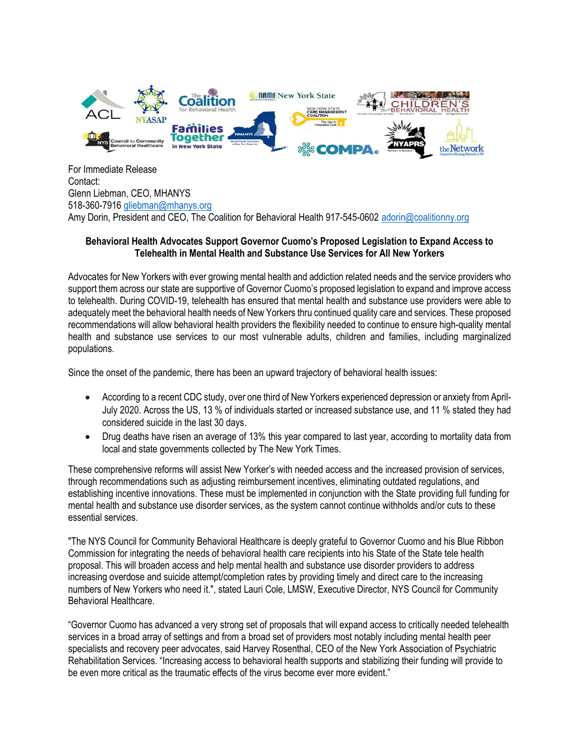

For Immediate Release Contact: Glenn Liebman, CEO, MHANYS 518-360-7916 gliebman@mhanys.org Amy Dorin, President and CEO, The Coalition for Behavioral Health 917-545-0602 adorin@coalitionny.org

## Behavioral Health Advocates Support Governor Cuomo's Proposed Legislation to Expand Access to Telehealth in Mental Health and Substance Use Services for All New Yorkers

Advocates for New Yorkers with ever growing mental health and addiction related needs and the service providers who support them across our state are supportive of Governor Cuomo's proposed legislation to expand and improve access to telehealth. During COVID-19, telehealth has ensured that mental health and substance use providers were able to adequately meet the behavioral health needs of New Yorkers thru continued quality care and services. These proposed recommendations will allow behavioral health providers the flexibility needed to continue to ensure high-quality mental health and substance use services to our most vulnerable adults, children and families, including marginalized populations.

Since the onset of the pandemic, there has been an upward trajectory of behavioral health issues:

- According to a recent CDC study, over one third of New Yorkers experienced depression or anxiety from April-July 2020. Across the US, 13 % of individuals started or increased substance use, and 11 % stated they had considered suicide in the last 30 days.
- Drug deaths have risen an average of 13% this year compared to last year, according to mortality data from local and state governments collected by The New York Times.

These comprehensive reforms will assist New Yorker's with needed access and the increased provision of services, through recommendations such as adjusting reimbursement incentives, eliminating outdated regulations, and establishing incentive innovations. These must be implemented in conjunction with the State providing full funding for mental health and substance use disorder services, as the system cannot continue withholds and/or cuts to these essential services.

"The NYS Council for Community Behavioral Healthcare is deeply grateful to Governor Cuomo and his Blue Ribbon Commission for integrating the needs of behavioral health care recipients into his State of the State tele health proposal. This will broaden access and help mental health and substance use disorder providers to address increasing overdose and suicide attempt/completion rates by providing timely and direct care to the increasing numbers of New Yorkers who need it.", stated Lauri Cole, LMSW, Executive Director, NYS Council for Community Behavioral Healthcare.

"Governor Cuomo has advanced a very strong set of proposals that will expand access to critically needed telehealth services in a broad array of settings and from a broad set of providers most notably including mental health peer specialists and recovery peer advocates, said Harvey Rosenthal, CEO of the New York Association of Psychiatric Rehabilitation Services. "Increasing access to behavioral health supports and stabilizing their funding will provide to be even more critical as the traumatic effects of the virus become ever more evident."